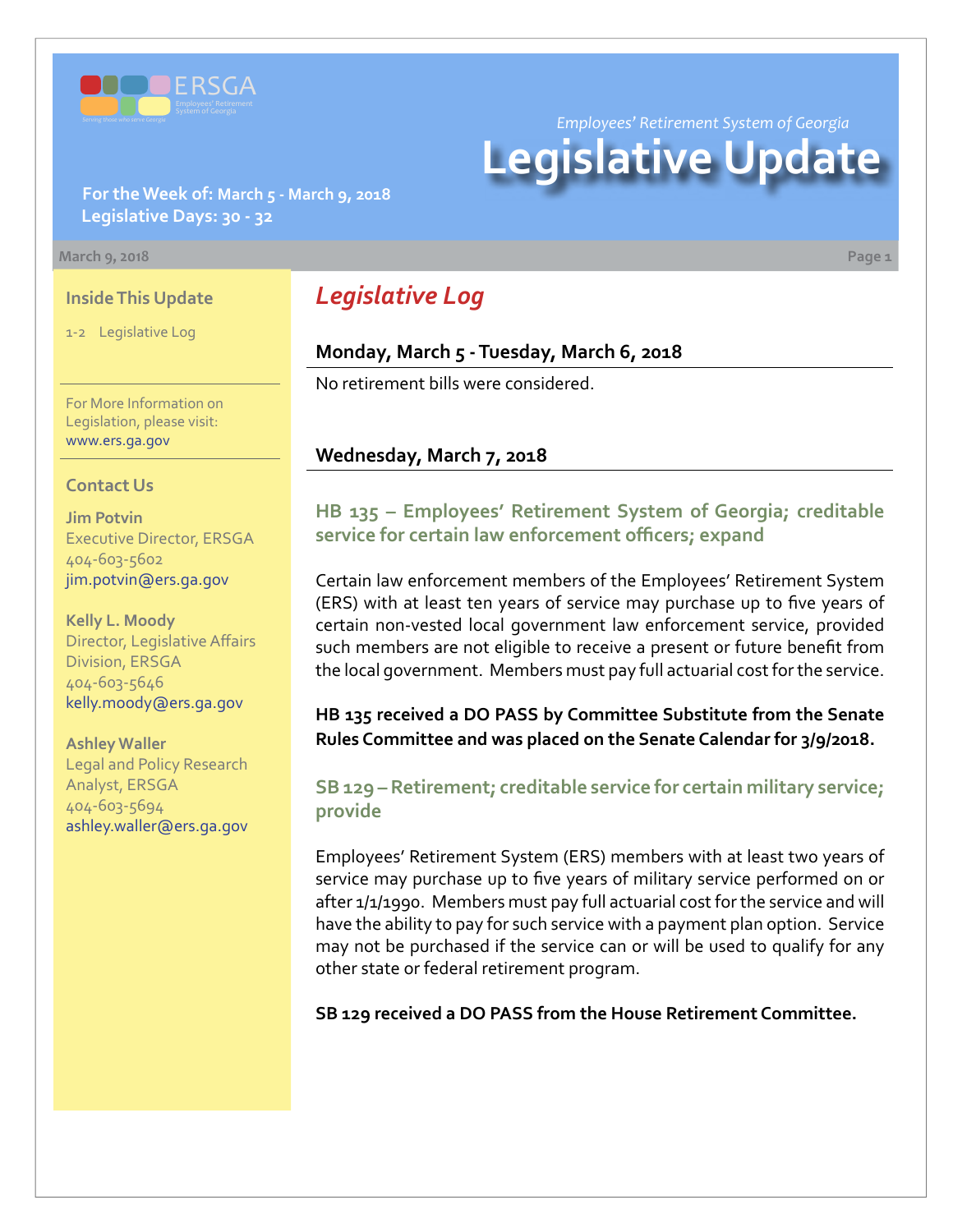

*Employees' Retirement System of Georgia*

# **Legislative Update**

**For the Week of: March 5 - March 9, 2018 Legislative Days: 30 - 32**

#### **March 9, 2018 Page 1**

#### **Inside This Update**

1-2 Legislative Log

For More Information on Legislation, please visit: [www.ers.ga.gov](http://www.ers.ga.gov/)

#### **Contact Us**

**Jim Potvin** Executive Director, ERSGA 404-603-5602 jim.potvin@ers.ga.gov

**Kelly L. Moody** Director, Legislative Affairs Division, ERSGA 404-603-5646 kelly.moody@ers.ga.gov

**Ashley Waller** Legal and Policy Research Analyst, ERSGA 404-603-5694 ashley.waller@ers.ga.gov

# *Legislative Log*

#### **Monday, March 5 - Tuesday, March 6, 2018**

No retirement bills were considered.

#### **Wednesday, March 7, 2018**

## **HB 135 [–](http://www.legis.ga.gov/legislation/en-US/Display/20172018/HB/135) Employees' Retirement System of Georgia; creditable service for certain law enforcement officers; expand**

Certain law enforcement members of the Employees' Retirement System (ERS) with at least ten years of service may purchase up to five years of certain non-vested local government law enforcement service, provided such members are not eligible to receive a present or future benefit from the local government. Members must pay full actuarial cost for the service.

**HB 135 received a DO PASS by Committee Substitute from the Senate Rules Committee and was placed on the Senate Calendar for 3/9/2018.** 

### **SB 129 [–](http://www.legis.ga.gov/legislation/en-US/Display/20172018/SB/129) Retirement; creditable service for certain military service; provide**

Employees' Retirement System (ERS) members with at least two years of service may purchase up to five years of military service performed on or after 1/1/1990. Members must pay full actuarial cost for the service and will have the ability to pay for such service with a payment plan option. Service may not be purchased if the service can or will be used to qualify for any other state or federal retirement program.

**SB 129 received a DO PASS from the House Retirement Committee.**